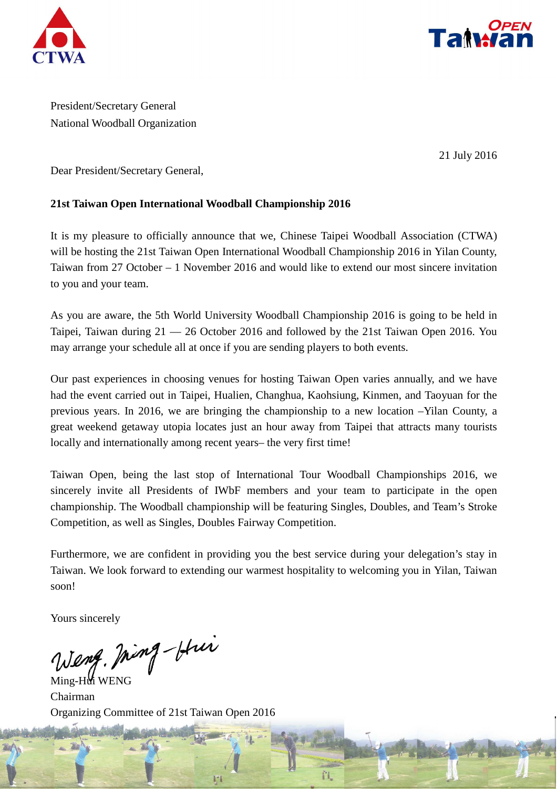



President/Secretary General National Woodball Organization

21 July 2016

Dear President/Secretary General,

#### **21st Taiwan Open International Woodball Championship 2016**

It is my pleasure to officially announce that we, Chinese Taipei Woodball Association (CTWA) will be hosting the 21st Taiwan Open International Woodball Championship 2016 in Yilan County, Taiwan from 27 October – 1 November 2016 and would like to extend our most sincere invitation to you and your team.

As you are aware, the 5th World University Woodball Championship 2016 is going to be held in Taipei, Taiwan during 21 — 26 October 2016 and followed by the 21st Taiwan Open 2016. You may arrange your schedule all at once if you are sending players to both events.

Our past experiences in choosing venues for hosting Taiwan Open varies annually, and we have had the event carried out in Taipei, Hualien, Changhua, Kaohsiung, Kinmen, and Taoyuan for the previous years. In 2016, we are bringing the championship to a new location –Yilan County, a great weekend getaway utopia locates just an hour away from Taipei that attracts many tourists locally and internationally among recent years– the very first time!

Taiwan Open, being the last stop of International Tour Woodball Championships 2016, we sincerely invite all Presidents of IWbF members and your team to participate in the open championship. The Woodball championship will be featuring Singles, Doubles, and Team's Stroke Competition, as well as Singles, Doubles Fairway Competition.

Furthermore, we are confident in providing you the best service during your delegation's stay in Taiwan. We look forward to extending our warmest hospitality to welcoming you in Yilan, Taiwan soon!

Ň.

Yours sincerely

Weng. Ming-Hui

Chairman Organizing Committee of 21st Taiwan Open 2016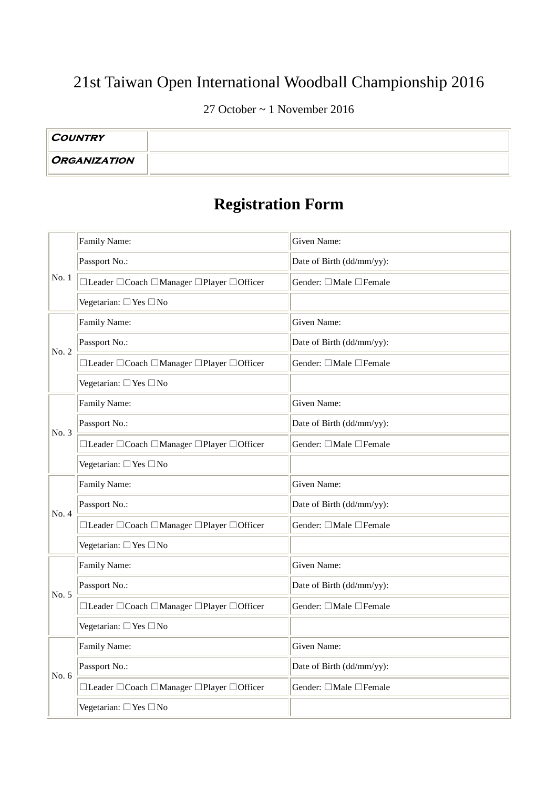### 27 October ~ 1 November 2016

| <b>COUNTRY</b>      |  |
|---------------------|--|
| <b>ORGANIZATION</b> |  |

# **Registration Form**

|       | Family Name:                             | Given Name:               |  |  |  |
|-------|------------------------------------------|---------------------------|--|--|--|
|       | Passport No.:                            | Date of Birth (dd/mm/yy): |  |  |  |
| No. 1 | □Leader □Coach □Manager □Player □Officer | Gender: □Male □Female     |  |  |  |
|       | Vegetarian: □ Yes □ No                   |                           |  |  |  |
|       | Family Name:                             | Given Name:               |  |  |  |
| No. 2 | Passport No.:                            | Date of Birth (dd/mm/yy): |  |  |  |
|       | □Leader □Coach □Manager □Player □Officer | Gender: □Male □Female     |  |  |  |
|       | Vegetarian: □ Yes □ No                   |                           |  |  |  |
|       | Family Name:                             | Given Name:               |  |  |  |
|       | Passport No.:                            | Date of Birth (dd/mm/yy): |  |  |  |
| No. 3 | □Leader □Coach □Manager □Player □Officer | Gender: □Male □Female     |  |  |  |
|       | Vegetarian: □ Yes □ No                   |                           |  |  |  |
|       | Family Name:                             | Given Name:               |  |  |  |
| No. 4 | Passport No.:                            | Date of Birth (dd/mm/yy): |  |  |  |
|       | □Leader □Coach □Manager □Player □Officer | Gender: □Male □Female     |  |  |  |
|       | Vegetarian: □ Yes □ No                   |                           |  |  |  |
|       | Family Name:                             | Given Name:               |  |  |  |
| No. 5 | Passport No.:                            | Date of Birth (dd/mm/yy): |  |  |  |
|       | □Leader □Coach □Manager □Player □Officer | Gender: □Male □Female     |  |  |  |
|       | Vegetarian: □ Yes □ No                   |                           |  |  |  |
|       | Family Name:                             | Given Name:               |  |  |  |
| No. 6 | Passport No.:                            | Date of Birth (dd/mm/yy): |  |  |  |
|       | □Leader □Coach □Manager □Player □Officer | Gender: □Male □Female     |  |  |  |
|       | Vegetarian: □ Yes □ No                   |                           |  |  |  |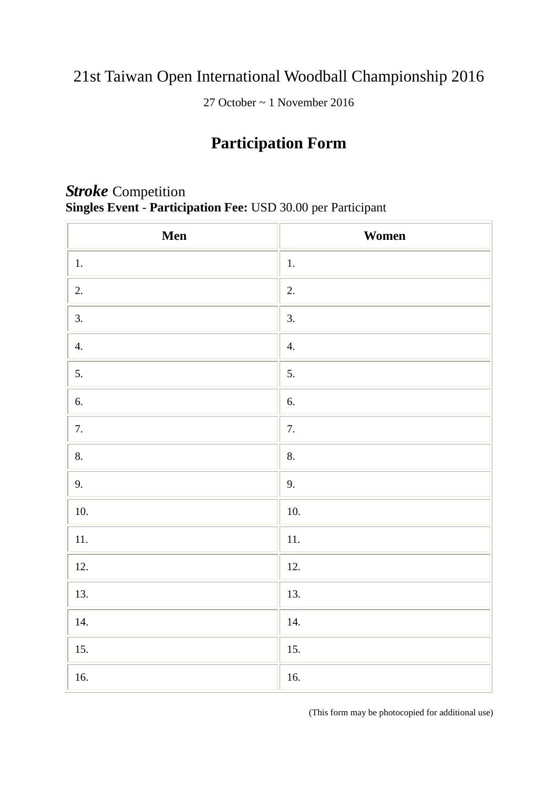27 October ~ 1 November 2016

# **Participation Form**

#### *Stroke* Competition **Singles Event** - **Participation Fee:** USD 30.00 per Participant  $\overline{a}$

| Men      | <b>Women</b> |
|----------|--------------|
| 1.       | 1.           |
| 2.       | 2.           |
| 3.       | 3.           |
| 4.       | 4.           |
| 5.       | 5.           |
| 6.       | 6.           |
| 7.       | 7.           |
| 8.       | 8.           |
| 9.       | 9.           |
| 10.      | 10.          |
| $11. \,$ | $11. \,$     |
| 12.      | 12.          |
| 13.      | 13.          |
| 14.      | 14.          |
| 15.      | 15.          |
| 16.      | $16.$        |

(This form may be photocopied for additional use)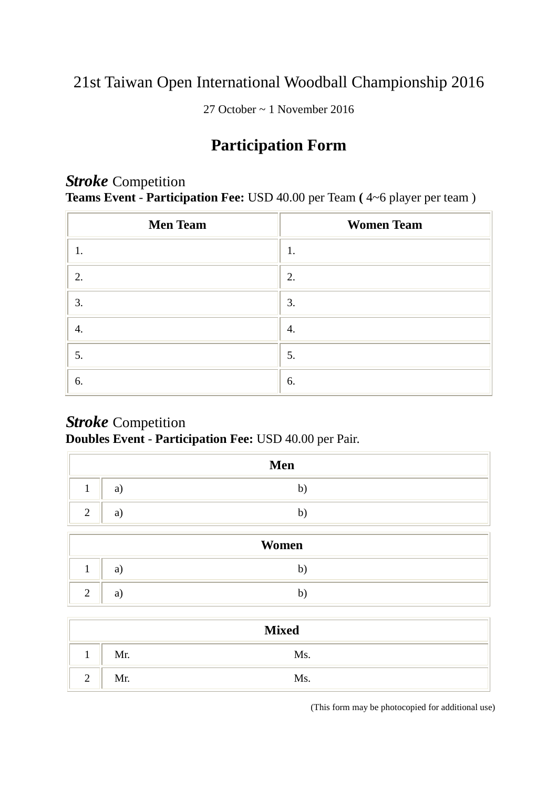27 October ~ 1 November 2016

## **Participation Form**

### **Stroke** Competition

**Teams Event** - **Participation Fee:** USD 40.00 per Team **(** 4~6 player per team )

| <b>Men Team</b> | <b>Women Team</b> |
|-----------------|-------------------|
| 1.              | 1.                |
| 2.              | 2.                |
| 3.              | 3.                |
| 4.              | 4.                |
| 5.              | 5.                |
| 6.              | 6.                |

### **Stroke** Competition **Doubles Event** - **Participation Fee:** USD 40.00 per Pair.

| Men |   |  |  |  |
|-----|---|--|--|--|
|     | a |  |  |  |
|     | a |  |  |  |

|                | Women |   |  |  |  |
|----------------|-------|---|--|--|--|
|                | a     |   |  |  |  |
| $\bigcap$<br>∼ | a     | υ |  |  |  |

| <b>Mixed</b> |     |     |  |  |
|--------------|-----|-----|--|--|
|              | Mr. | Ms. |  |  |
| ∼            | Mr. | Ms. |  |  |

(This form may be photocopied for additional use)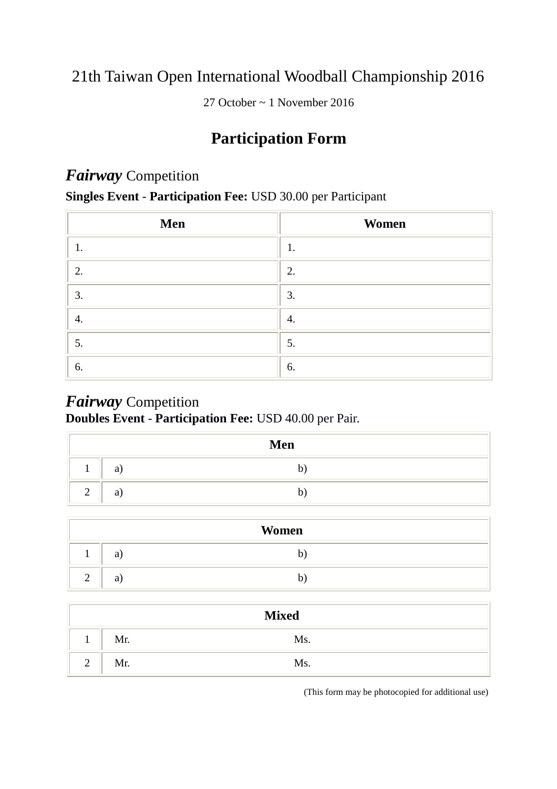27 October ~ 1 November 2016

## **Participation Form**

### *Fairway* Competition

### **Singles Event** - **Participation Fee:** USD 30.00 per Participant

| Men | Women |
|-----|-------|
| 1.  | 1.    |
| 2.  | 2.    |
| 3.  | 3.    |
| 4.  | 4.    |
| 5.  | 5.    |
| 6.  | 6.    |
|     |       |

### *Fairway* Competition

### **Doubles Event** - **Participation Fee:** USD 40.00 per Pair.

| Men    |   |   |  |  |
|--------|---|---|--|--|
|        | a |   |  |  |
| ◠<br>∸ | a | υ |  |  |

| Women  |   |  |  |  |
|--------|---|--|--|--|
|        | a |  |  |  |
| ⌒<br>∽ | a |  |  |  |

| <b>Mixed</b>   |     |     |  |  |
|----------------|-----|-----|--|--|
| л.             | Mr. | Ms. |  |  |
| $\bigcap$<br>∠ | Mr. | Ms. |  |  |

(This form may be photocopied for additional use)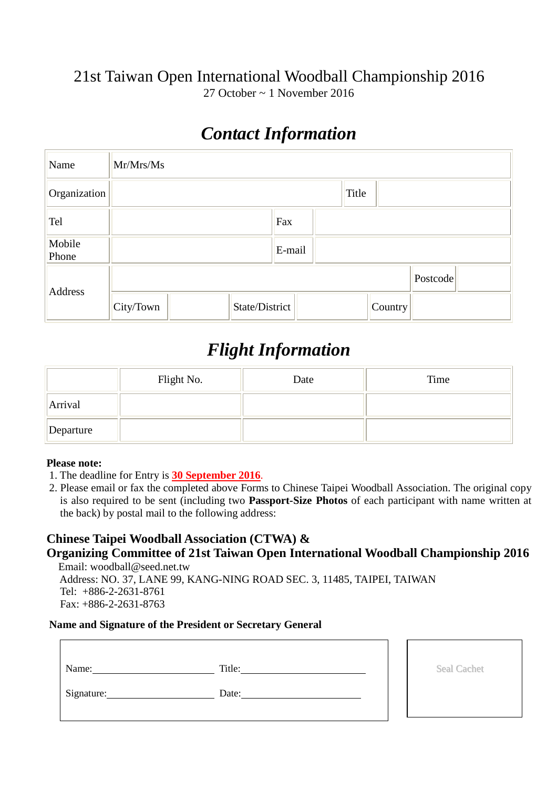### 21st Taiwan Open International Woodball Championship 2016 27 October ~ 1 November 2016

# *Contact Information*

| Name            | Mr/Mrs/Ms |  |                |  |  |         |          |  |
|-----------------|-----------|--|----------------|--|--|---------|----------|--|
| Organization    | Title     |  |                |  |  |         |          |  |
| Tel             | Fax       |  |                |  |  |         |          |  |
| Mobile<br>Phone |           |  | E-mail         |  |  |         |          |  |
| Address         |           |  |                |  |  |         | Postcode |  |
|                 | City/Town |  | State/District |  |  | Country |          |  |

# *Flight Information*

|           | Flight No. | Date | Time |
|-----------|------------|------|------|
| Arrival   |            |      |      |
| Departure |            |      |      |

#### **Please note:**

Г

- 1. The deadline for Entry is **30 September 2016**.
- 2. Please email or fax the completed above Forms to Chinese Taipei Woodball Association. The original copy is also required to be sent (including two **Passport-Size Photos** of each participant with name written at the back) by postal mail to the following address:

### **Chinese Taipei Woodball Association (CTWA) &**

#### **Organizing Committee of 21st Taiwan Open International Woodball Championship 2016**  Email: woodball@seed.net.tw

 Address: NO. 37, LANE 99, KANG-NING ROAD SEC. 3, 11485, TAIPEI, TAIWAN Tel: +886-2-2631-8761 Fax: +886-2-2631-8763

#### **Name and Signature of the President or Secretary General**

| Name:      | Title: | <b>Seal Cachet</b> |
|------------|--------|--------------------|
| Signature: | Date:  |                    |

| <b>Seal Cachet</b> |
|--------------------|
|                    |
|                    |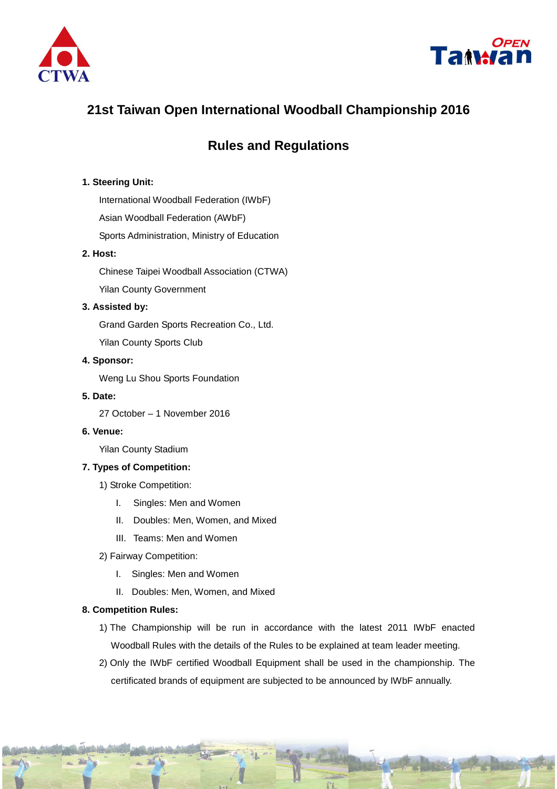



### **Rules and Regulations**

#### **1. Steering Unit:**

International Woodball Federation (IWbF) Asian Woodball Federation (AWbF) Sports Administration, Ministry of Education

#### **2. Host:**

Chinese Taipei Woodball Association (CTWA) Yilan County Government

#### **3. Assisted by:**

Grand Garden Sports Recreation Co., Ltd.

Yilan County Sports Club

#### **4. Sponsor:**

Weng Lu Shou Sports Foundation

**5. Date:** 

27 October – 1 November 2016

**6. Venue:** 

Yilan County Stadium

#### **7. Types of Competition:**

- 1) Stroke Competition:
	- I. Singles: Men and Women
	- II. Doubles: Men, Women, and Mixed
	- III. Teams: Men and Women
- 2) Fairway Competition:
	- I. Singles: Men and Women
	- II. Doubles: Men, Women, and Mixed

#### **8. Competition Rules:**

- 1) The Championship will be run in accordance with the latest 2011 IWbF enacted Woodball Rules with the details of the Rules to be explained at team leader meeting.
- 2) Only the IWbF certified Woodball Equipment shall be used in the championship. The certificated brands of equipment are subjected to be announced by IWbF annually.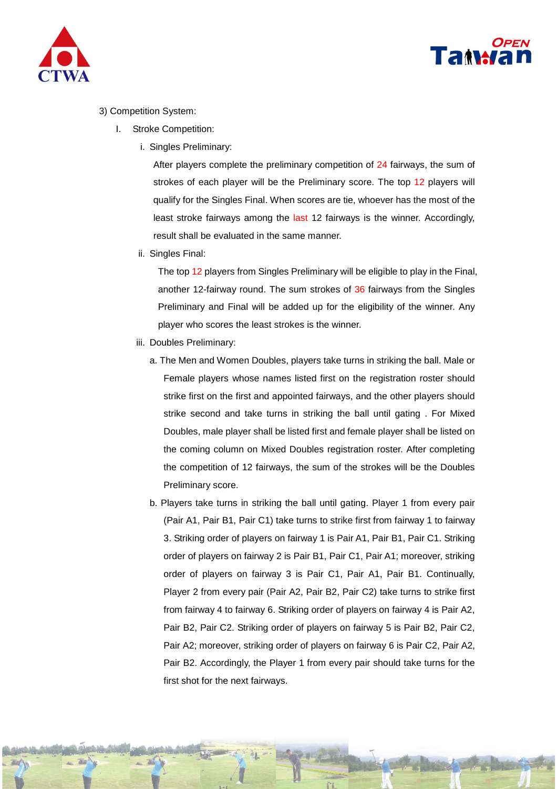



#### 3) Competition System:

- I. Stroke Competition:
	- i. Singles Preliminary:

After players complete the preliminary competition of 24 fairways, the sum of strokes of each player will be the Preliminary score. The top 12 players will qualify for the Singles Final. When scores are tie, whoever has the most of the least stroke fairways among the last 12 fairways is the winner. Accordingly, result shall be evaluated in the same manner.

ii. Singles Final:

The top 12 players from Singles Preliminary will be eligible to play in the Final, another 12-fairway round. The sum strokes of 36 fairways from the Singles Preliminary and Final will be added up for the eligibility of the winner. Any player who scores the least strokes is the winner.

- iii. Doubles Preliminary:
	- a. The Men and Women Doubles, players take turns in striking the ball. Male or Female players whose names listed first on the registration roster should strike first on the first and appointed fairways, and the other players should strike second and take turns in striking the ball until gating . For Mixed Doubles, male player shall be listed first and female player shall be listed on the coming column on Mixed Doubles registration roster. After completing the competition of 12 fairways, the sum of the strokes will be the Doubles Preliminary score.
	- b. Players take turns in striking the ball until gating. Player 1 from every pair (Pair A1, Pair B1, Pair C1) take turns to strike first from fairway 1 to fairway 3. Striking order of players on fairway 1 is Pair A1, Pair B1, Pair C1. Striking order of players on fairway 2 is Pair B1, Pair C1, Pair A1; moreover, striking order of players on fairway 3 is Pair C1, Pair A1, Pair B1. Continually, Player 2 from every pair (Pair A2, Pair B2, Pair C2) take turns to strike first from fairway 4 to fairway 6. Striking order of players on fairway 4 is Pair A2, Pair B2, Pair C2. Striking order of players on fairway 5 is Pair B2, Pair C2, Pair A2; moreover, striking order of players on fairway 6 is Pair C2, Pair A2, Pair B2. Accordingly, the Player 1 from every pair should take turns for the first shot for the next fairways.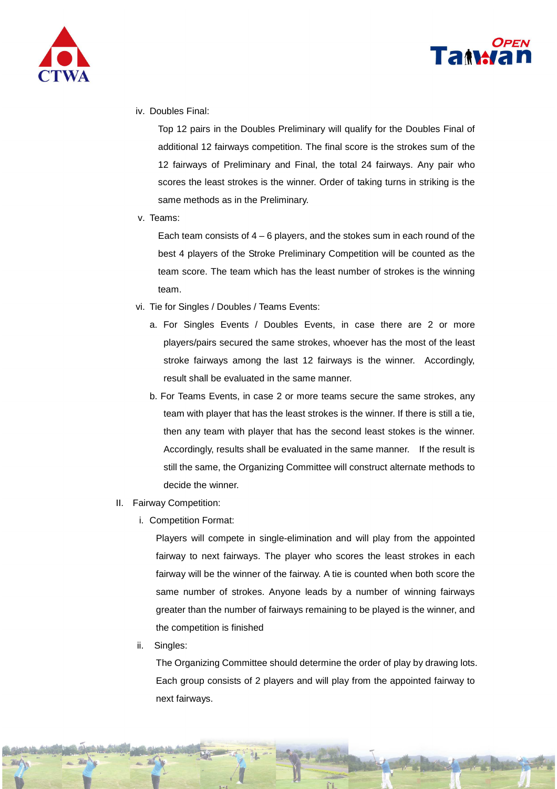



iv. Doubles Final:

Top 12 pairs in the Doubles Preliminary will qualify for the Doubles Final of additional 12 fairways competition. The final score is the strokes sum of the 12 fairways of Preliminary and Final, the total 24 fairways. Any pair who scores the least strokes is the winner. Order of taking turns in striking is the same methods as in the Preliminary.

v. Teams:

Each team consists of  $4 - 6$  players, and the stokes sum in each round of the best 4 players of the Stroke Preliminary Competition will be counted as the team score. The team which has the least number of strokes is the winning team.

- vi. Tie for Singles / Doubles / Teams Events:
	- a. For Singles Events / Doubles Events, in case there are 2 or more players/pairs secured the same strokes, whoever has the most of the least stroke fairways among the last 12 fairways is the winner. Accordingly, result shall be evaluated in the same manner.
	- b. For Teams Events, in case 2 or more teams secure the same strokes, any team with player that has the least strokes is the winner. If there is still a tie, then any team with player that has the second least stokes is the winner. Accordingly, results shall be evaluated in the same manner. If the result is still the same, the Organizing Committee will construct alternate methods to decide the winner.
- II. Fairway Competition:
	- i. Competition Format:

Players will compete in single-elimination and will play from the appointed fairway to next fairways. The player who scores the least strokes in each fairway will be the winner of the fairway. A tie is counted when both score the same number of strokes. Anyone leads by a number of winning fairways greater than the number of fairways remaining to be played is the winner, and the competition is finished

ii. Singles:

The Organizing Committee should determine the order of play by drawing lots. Each group consists of 2 players and will play from the appointed fairway to next fairways.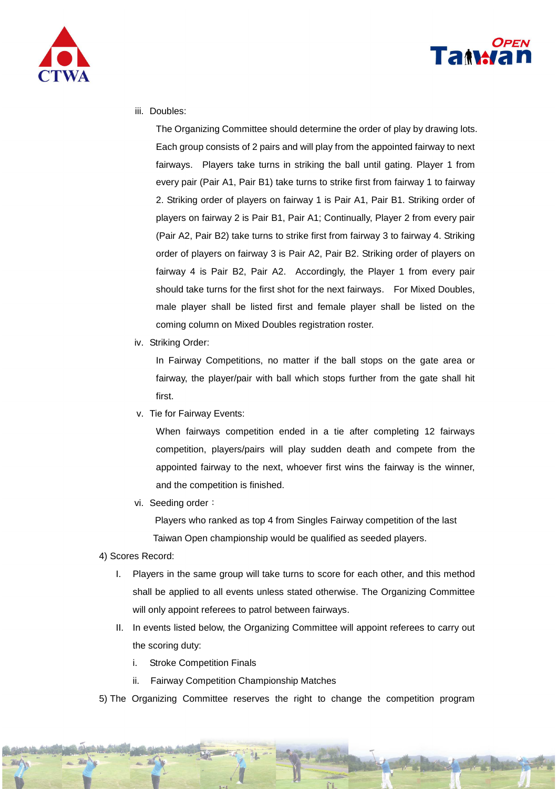



iii. Doubles:

The Organizing Committee should determine the order of play by drawing lots. Each group consists of 2 pairs and will play from the appointed fairway to next fairways. Players take turns in striking the ball until gating. Player 1 from every pair (Pair A1, Pair B1) take turns to strike first from fairway 1 to fairway 2. Striking order of players on fairway 1 is Pair A1, Pair B1. Striking order of players on fairway 2 is Pair B1, Pair A1; Continually, Player 2 from every pair (Pair A2, Pair B2) take turns to strike first from fairway 3 to fairway 4. Striking order of players on fairway 3 is Pair A2, Pair B2. Striking order of players on fairway 4 is Pair B2, Pair A2. Accordingly, the Player 1 from every pair should take turns for the first shot for the next fairways. For Mixed Doubles, male player shall be listed first and female player shall be listed on the coming column on Mixed Doubles registration roster.

iv. Striking Order:

In Fairway Competitions, no matter if the ball stops on the gate area or fairway, the player/pair with ball which stops further from the gate shall hit first.

v. Tie for Fairway Events:

When fairways competition ended in a tie after completing 12 fairways competition, players/pairs will play sudden death and compete from the appointed fairway to the next, whoever first wins the fairway is the winner, and the competition is finished.

vi. Seeding order:

Players who ranked as top 4 from Singles Fairway competition of the last Taiwan Open championship would be qualified as seeded players.

- 4) Scores Record:
	- I. Players in the same group will take turns to score for each other, and this method shall be applied to all events unless stated otherwise. The Organizing Committee will only appoint referees to patrol between fairways.
	- II. In events listed below, the Organizing Committee will appoint referees to carry out the scoring duty:
		- i. Stroke Competition Finals
		- ii. Fairway Competition Championship Matches
- 5) The Organizing Committee reserves the right to change the competition program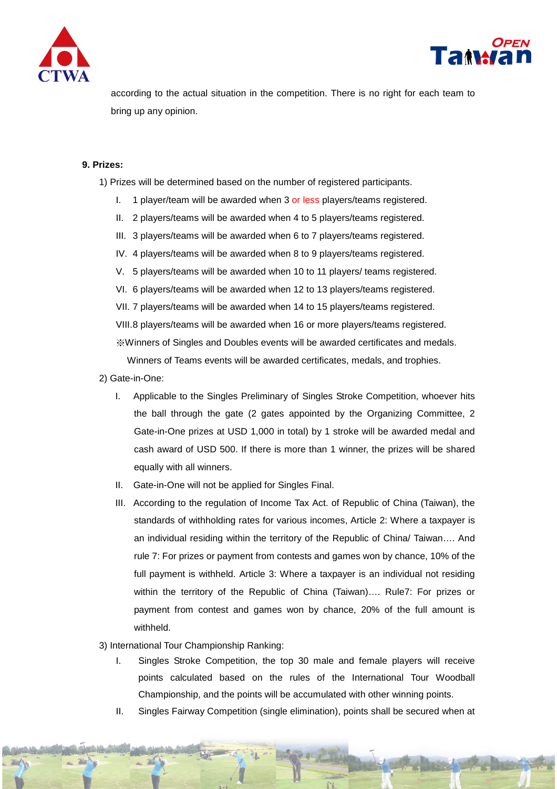



according to the actual situation in the competition. There is no right for each team to bring up any opinion.

#### **9. Prizes:**

- 1) Prizes will be determined based on the number of registered participants.
	- I. 1 player/team will be awarded when 3 or less players/teams registered.
	- II. 2 players/teams will be awarded when 4 to 5 players/teams registered.
	- III. 3 players/teams will be awarded when 6 to 7 players/teams registered.
	- IV. 4 players/teams will be awarded when 8 to 9 players/teams registered.
	- V. 5 players/teams will be awarded when 10 to 11 players/ teams registered.
	- VI. 6 players/teams will be awarded when 12 to 13 players/teams registered.

VII. 7 players/teams will be awarded when 14 to 15 players/teams registered.

VIII. 8 players/teams will be awarded when 16 or more players/teams registered.

※Winners of Singles and Doubles events will be awarded certificates and medals.

Winners of Teams events will be awarded certificates, medals, and trophies.

- 2) Gate-in-One:
	- I. Applicable to the Singles Preliminary of Singles Stroke Competition, whoever hits the ball through the gate (2 gates appointed by the Organizing Committee, 2 Gate-in-One prizes at USD 1,000 in total) by 1 stroke will be awarded medal and cash award of USD 500. If there is more than 1 winner, the prizes will be shared equally with all winners.
	- II. Gate-in-One will not be applied for Singles Final.
	- III. According to the regulation of Income Tax Act. of Republic of China (Taiwan), the standards of withholding rates for various incomes, Article 2: Where a taxpayer is an individual residing within the territory of the Republic of China/ Taiwan…. And rule 7: For prizes or payment from contests and games won by chance, 10% of the full payment is withheld. Article 3: Where a taxpayer is an individual not residing within the territory of the Republic of China (Taiwan)…. Rule7: For prizes or payment from contest and games won by chance, 20% of the full amount is withheld.
- 3) International Tour Championship Ranking:
	- I. Singles Stroke Competition, the top 30 male and female players will receive points calculated based on the rules of the International Tour Woodball Championship, and the points will be accumulated with other winning points.
	- II. Singles Fairway Competition (single elimination), points shall be secured when at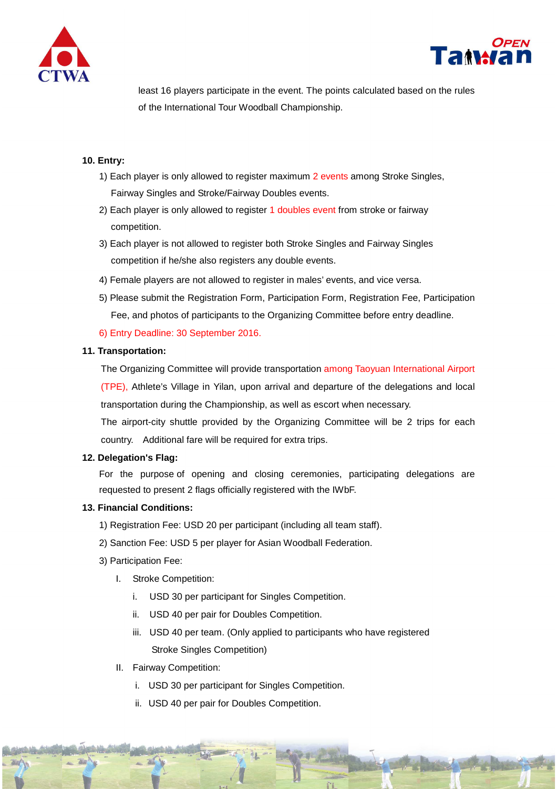



least 16 players participate in the event. The points calculated based on the rules of the International Tour Woodball Championship.

#### **10. Entry:**

- 1) Each player is only allowed to register maximum 2 events among Stroke Singles, Fairway Singles and Stroke/Fairway Doubles events.
- 2) Each player is only allowed to register 1 doubles event from stroke or fairway competition.
- 3) Each player is not allowed to register both Stroke Singles and Fairway Singles competition if he/she also registers any double events.
- 4) Female players are not allowed to register in males' events, and vice versa.
- 5) Please submit the Registration Form, Participation Form, Registration Fee, Participation Fee, and photos of participants to the Organizing Committee before entry deadline.
- 6) Entry Deadline: 30 September 2016.

#### **11. Transportation:**

The Organizing Committee will provide transportation among Taoyuan International Airport

(TPE), Athlete's Village in Yilan, upon arrival and departure of the delegations and local transportation during the Championship, as well as escort when necessary.

The airport-city shuttle provided by the Organizing Committee will be 2 trips for each country. Additional fare will be required for extra trips.

#### **12. Delegation's Flag:**

For the purpose of opening and closing ceremonies, participating delegations are requested to present 2 flags officially registered with the IWbF.

#### **13. Financial Conditions:**

- 1) Registration Fee: USD 20 per participant (including all team staff).
- 2) Sanction Fee: USD 5 per player for Asian Woodball Federation.
- 3) Participation Fee:
	- I. Stroke Competition:
		- i. USD 30 per participant for Singles Competition.
		- ii. USD 40 per pair for Doubles Competition.
		- iii. USD 40 per team. (Only applied to participants who have registered Stroke Singles Competition)
	- II. Fairway Competition:
		- i. USD 30 per participant for Singles Competition.
		- ii. USD 40 per pair for Doubles Competition.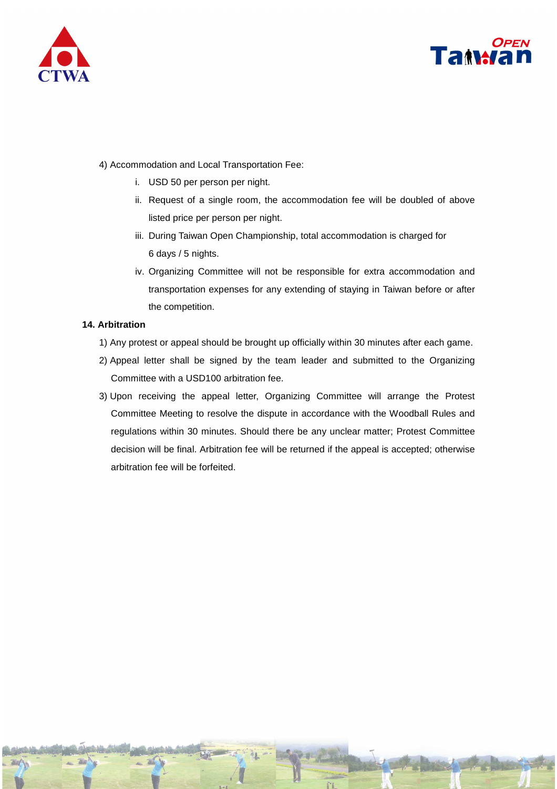



- 4) Accommodation and Local Transportation Fee:
	- i. USD 50 per person per night.
	- ii. Request of a single room, the accommodation fee will be doubled of above listed price per person per night.
	- iii. During Taiwan Open Championship, total accommodation is charged for 6 days / 5 nights.
	- iv. Organizing Committee will not be responsible for extra accommodation and transportation expenses for any extending of staying in Taiwan before or after the competition.

#### **14. Arbitration**

- 1) Any protest or appeal should be brought up officially within 30 minutes after each game.
- 2) Appeal letter shall be signed by the team leader and submitted to the Organizing Committee with a USD100 arbitration fee.
- 3) Upon receiving the appeal letter, Organizing Committee will arrange the Protest Committee Meeting to resolve the dispute in accordance with the Woodball Rules and regulations within 30 minutes. Should there be any unclear matter; Protest Committee decision will be final. Arbitration fee will be returned if the appeal is accepted; otherwise arbitration fee will be forfeited.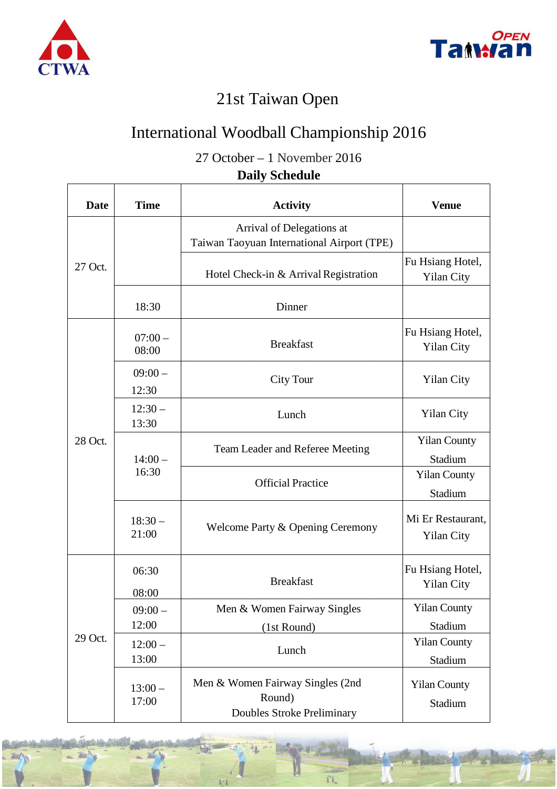



# 21st Taiwan Open

# International Woodball Championship 2016

## 27 October – 1 November 2016

### **Daily Schedule**

| <b>Date</b> | <b>Time</b>        | <b>Activity</b>                                                                 | <b>Venue</b>                          |
|-------------|--------------------|---------------------------------------------------------------------------------|---------------------------------------|
| 27 Oct.     |                    | Arrival of Delegations at<br>Taiwan Taoyuan International Airport (TPE)         |                                       |
|             |                    | Hotel Check-in & Arrival Registration                                           | Fu Hsiang Hotel,<br><b>Yilan City</b> |
|             | 18:30              | Dinner                                                                          |                                       |
| 28 Oct.     | $07:00 -$<br>08:00 | <b>Breakfast</b>                                                                | Fu Hsiang Hotel,<br>Yilan City        |
|             | $09:00-$<br>12:30  | <b>City Tour</b>                                                                | <b>Yilan City</b>                     |
|             | $12:30-$<br>13:30  | Lunch                                                                           | <b>Yilan City</b>                     |
|             | $14:00 -$<br>16:30 | Team Leader and Referee Meeting                                                 | <b>Yilan County</b><br>Stadium        |
|             |                    | <b>Official Practice</b>                                                        | <b>Yilan County</b><br>Stadium        |
|             | $18:30-$<br>21:00  | Welcome Party & Opening Ceremony                                                | Mi Er Restaurant,<br>Yilan City       |
| 29 Oct.     | 06:30              | <b>Breakfast</b>                                                                | Fu Hsiang Hotel,                      |
|             | 08:00              |                                                                                 | <b>Yilan City</b>                     |
|             | $09:00 -$          | Men & Women Fairway Singles                                                     | <b>Yilan County</b>                   |
|             | 12:00              | (1st Round)                                                                     | Stadium                               |
|             | $12:00 -$<br>13:00 | Lunch                                                                           | <b>Yilan County</b><br>Stadium        |
|             | $13:00 -$<br>17:00 | Men & Women Fairway Singles (2nd<br>Round)<br><b>Doubles Stroke Preliminary</b> | <b>Yilan County</b><br>Stadium        |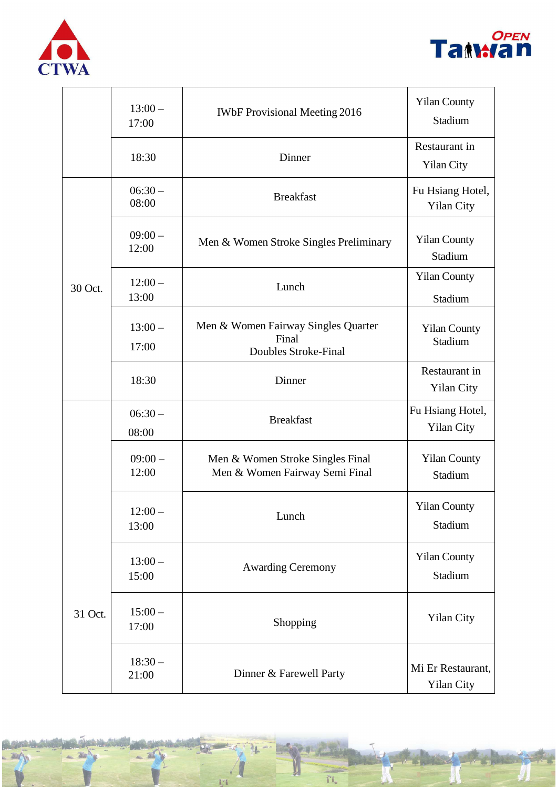



|         | $13:00 -$<br>17:00 | <b>IWbF Provisional Meeting 2016</b>                                        | <b>Yilan County</b><br>Stadium         |
|---------|--------------------|-----------------------------------------------------------------------------|----------------------------------------|
|         | 18:30              | Dinner                                                                      | Restaurant in<br><b>Yilan City</b>     |
|         | $06:30-$<br>08:00  | <b>Breakfast</b>                                                            | Fu Hsiang Hotel,<br><b>Yilan City</b>  |
|         | $09:00-$<br>12:00  | Men & Women Stroke Singles Preliminary                                      | <b>Yilan County</b><br>Stadium         |
| 30 Oct. | $12:00-$<br>13:00  | Lunch                                                                       | <b>Yilan County</b><br>Stadium         |
|         | $13:00 -$<br>17:00 | Men & Women Fairway Singles Quarter<br>Final<br><b>Doubles Stroke-Final</b> | <b>Yilan County</b><br>Stadium         |
|         | 18:30              | Dinner                                                                      | Restaurant in<br><b>Yilan City</b>     |
|         | $06:30-$<br>08:00  | <b>Breakfast</b>                                                            | Fu Hsiang Hotel,<br><b>Yilan City</b>  |
|         | $09:00-$<br>12:00  | Men & Women Stroke Singles Final<br>Men & Women Fairway Semi Final          | <b>Yilan County</b><br>Stadium         |
|         | $12:00 -$<br>13:00 | Lunch                                                                       | <b>Yilan County</b><br>Stadium         |
|         | $13:00-$<br>15:00  | <b>Awarding Ceremony</b>                                                    | <b>Yilan County</b><br>Stadium         |
| 31 Oct. | $15:00 -$<br>17:00 | Shopping                                                                    | <b>Yilan City</b>                      |
|         | $18:30-$<br>21:00  | Dinner & Farewell Party                                                     | Mi Er Restaurant,<br><b>Yilan City</b> |